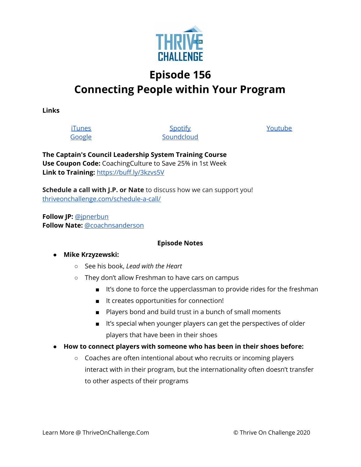

# **Episode 156 Connecting People within Your Program**

**Links**

**[iTunes](https://podcasts.apple.com/us/podcast/coaching-culture/id1286560192)** [Google](https://podcasts.google.com/feed/aHR0cHM6Ly9mZWVkcy5zb3VuZGNsb3VkLmNvbS91c2Vycy9zb3VuZGNsb3VkOnVzZXJzOjQxMDQyNzcvc291bmRzLnJzcw?ved=2ahUKEwiSpYquy9vqAhVbQUEAHSAkC88Q4aUDegQIARAC)

**[Spotify](https://open.spotify.com/show/336Hs8udk8s0yXuK3BzSOq) [Soundcloud](https://soundcloud.com/thriveonchallenge)**  [Youtube](https://www.youtube.com/channel/UC3vIljCBzwHcPyVIx9kiHvw)

**The Captain's Council Leadership System Training Course Use Coupon Code:** CoachingCulture to Save 25% in 1st Week **Link to Training:** <https://buff.ly/3kzvs5V>

**Schedule a call with J.P. or Nate** to discuss how we can support you! [thriveonchallenge.com/schedule-a-call/](http://thriveonchallenge.com/schedule-a-call/)

**Follow JP:** [@jpnerbun](http://twitter.com/jpnerbun) **Follow Nate:** [@coachnsanderson](http://twitter.com/coachnsanderson)

### **Episode Notes**

### **● Mike Krzyzewski:**

- See his book, *Lead with the Heart*
- They don't allow Freshman to have cars on campus
	- It's done to force the upperclassman to provide rides for the freshman
	- It creates opportunities for connection!
	- Players bond and build trust in a bunch of small moments
	- It's special when younger players can get the perspectives of older players that have been in their shoes
- **● How to connect players with someone who has been in their shoes before:**
	- Coaches are often intentional about who recruits or incoming players interact with in their program, but the internationality often doesn't transfer to other aspects of their programs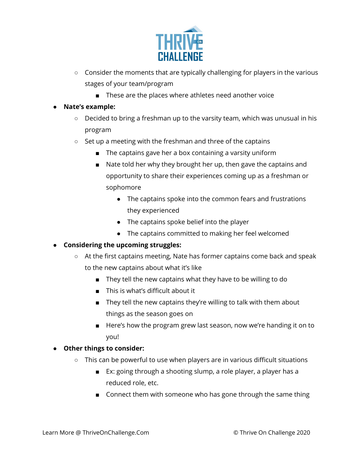

- Consider the moments that are typically challenging for players in the various stages of your team/program
	- These are the places where athletes need another voice

### **● Nate's example:**

- Decided to bring a freshman up to the varsity team, which was unusual in his program
- Set up a meeting with the freshman and three of the captains
	- The captains gave her a box containing a varsity uniform
	- Nate told her why they brought her up, then gave the captains and opportunity to share their experiences coming up as a freshman or sophomore
		- The captains spoke into the common fears and frustrations they experienced
		- The captains spoke belief into the player
		- The captains committed to making her feel welcomed

### **● Considering the upcoming struggles:**

- At the first captains meeting, Nate has former captains come back and speak to the new captains about what it's like
	- They tell the new captains what they have to be willing to do
	- This is what's difficult about it
	- They tell the new captains they're willing to talk with them about things as the season goes on
	- Here's how the program grew last season, now we're handing it on to you!

### **● Other things to consider:**

- This can be powerful to use when players are in various difficult situations
	- Ex: going through a shooting slump, a role player, a player has a reduced role, etc.
	- Connect them with someone who has gone through the same thing